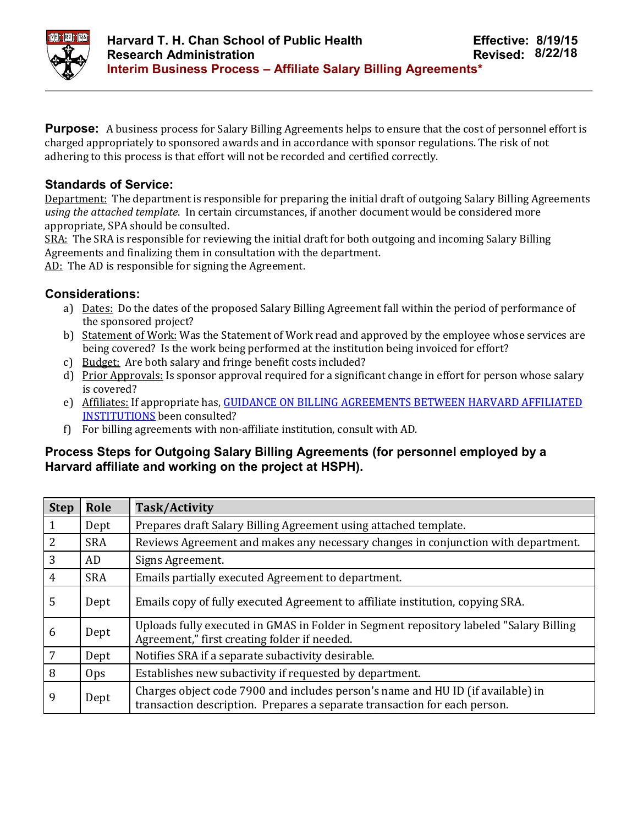

**Purpose:** A business process for Salary Billing Agreements helps to ensure that the cost of personnel effort is charged appropriately to sponsored awards and in accordance with sponsor regulations. The risk of not adhering to this process is that effort will not be recorded and certified correctly.

## **Standards of Service:**

Department: The department is responsible for preparing the initial draft of outgoing Salary Billing Agreements *using the attached template*. In certain circumstances, if another document would be considered more appropriate, SPA should be consulted.

SRA: The SRA is responsible for reviewing the initial draft for both outgoing and incoming Salary Billing Agreements and finalizing them in consultation with the department.

AD: The AD is responsible for signing the Agreement.

## **Considerations:**

- a) Dates: Do the dates of the proposed Salary Billing Agreement fall within the period of performance of the sponsored project?
- b) Statement of Work: Was the Statement of Work read and approved by the employee whose services are being covered? Is the work being performed at the institution being invoiced for effort?
- c) Budget: Are both salary and fringe benefit costs included?
- d) Prior Approvals: Is sponsor approval required for a significant change in effort for person whose salary is covered?
- e) Affiliates: If appropriate has, GUIDANCE ON BILLING AGREEMENTS BETWEEN HARVARD AFFILIATED INSTITUTIONS been consulted?
- f) For billing agreements with non-affiliate institution, consult with AD.

## **Process Steps for Outgoing Salary Billing Agreements (for personnel employed by a Harvard affiliate and working on the project at HSPH).**

| <b>Step</b>    | Role       | Task/Activity                                                                                                                                                |
|----------------|------------|--------------------------------------------------------------------------------------------------------------------------------------------------------------|
| $\mathbf{1}$   | Dept       | Prepares draft Salary Billing Agreement using attached template.                                                                                             |
| 2              | <b>SRA</b> | Reviews Agreement and makes any necessary changes in conjunction with department.                                                                            |
| 3              | AD         | Signs Agreement.                                                                                                                                             |
| $\overline{4}$ | <b>SRA</b> | Emails partially executed Agreement to department.                                                                                                           |
| 5              | Dept       | Emails copy of fully executed Agreement to affiliate institution, copying SRA.                                                                               |
| 6              | Dept       | Uploads fully executed in GMAS in Folder in Segment repository labeled "Salary Billing"<br>Agreement," first creating folder if needed.                      |
| 7              | Dept       | Notifies SRA if a separate subactivity desirable.                                                                                                            |
| 8              | Ops        | Establishes new subactivity if requested by department.                                                                                                      |
| 9              | Dept       | Charges object code 7900 and includes person's name and HU ID (if available) in<br>transaction description. Prepares a separate transaction for each person. |